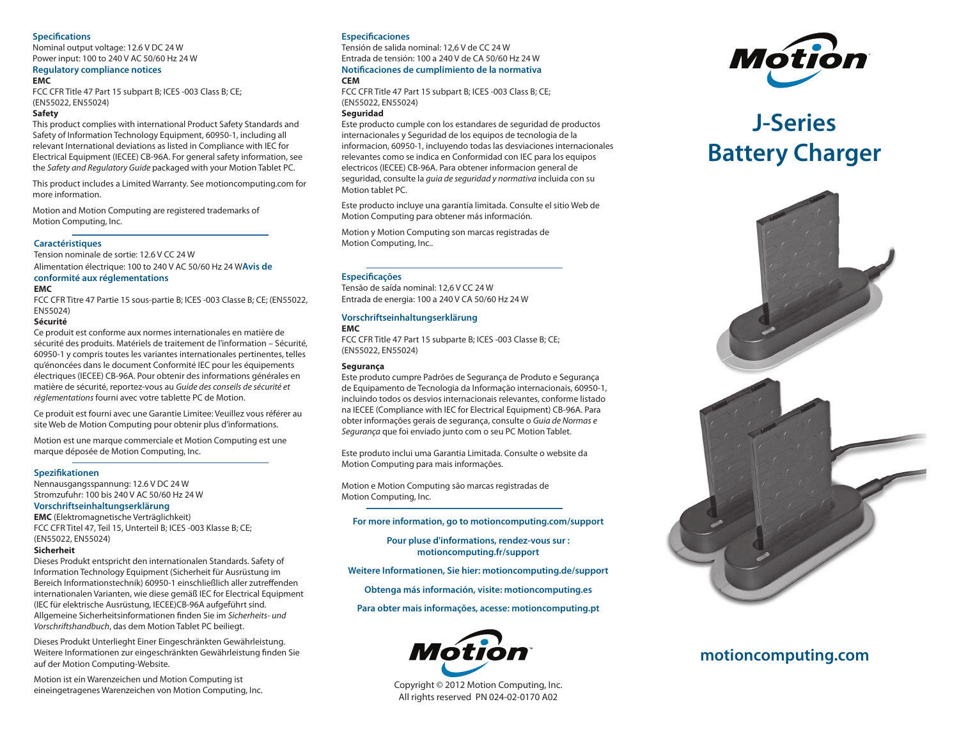#### **Specifications**

Nominal output voltage: 12.6 V DC 24 W Power input: 100 to 240 V AC 50/60 Hz 24 W

### **Regulatory compliance notices**

**EMC**

FCC CFR Title 47 Part 15 subpart B; ICES -003 Class B; CE; (EN55022, EN55024)

#### **Safety**

This product complies with international Product Safety Standards and Safety of Information Technology Equipment, 60950-1, including all relevant International deviations as listed in Compliance with IEC for Electrical Equipment (IECEE) CB-96A. For general safety information, see the *Safety and Regulatory Guide* packaged with your Motion Tablet PC.

This product includes a Limited Warranty. See motioncomputing.com for more information.

Motion and Motion Computing are registered trademarks of Motion Computing, Inc.

#### **Caractéristiques**

Tension nominale de sortie: 12.6 V CC 24 W Alimentation électrique: 100 to 240 V AC 50/60 Hz 24 W**Avis de** 

## **conformité aux réglementations**

#### **EMC**

FCC CFR Titre 47 Partie 15 sous-partie B; ICES -003 Classe B; CE; (EN55022, EN55024)

#### **Sécurité**

Ce produit est conforme aux normes internationales en matière de sécurité des produits. Matériels de traitement de l'information – Sécurité, 60950-1 y compris toutes les variantes internationales pertinentes, telles qu'énoncées dans le document Conformité IEC pour les équipements électriques (IECEE) CB-96A. Pour obtenir des informations générales en matière de sécurité, reportez-vous au *Guide des conseils de sécurité et réglementations* fourni avec votre tablette PC de Motion.

Ce produit est fourni avec une Garantie Limitee: Veuillez vous référer au site Web de Motion Computing pour obtenir plus d'informations.

Motion est une marque commerciale et Motion Computing est une marque déposée de Motion Computing, Inc.

#### **Spezifikationen**

Nennausgangsspannung: 12.6 V DC 24 W Stromzufuhr: 100 bis 240 V AC 50/60 Hz 24 W

#### **Vorschriftseinhaltungserklärung**

**EMC** (Elektromagnetische Verträglichkeit) FCC CFR Titel 47, Teil 15, Unterteil B; ICES -003 Klasse B; CE; (EN55022, EN55024)

#### **Sicherheit**

Dieses Produkt entspricht den internationalen Standards. Safety of Information Technology Equipment (Sicherheit für Ausrüstung im Bereich Informationstechnik) 60950-1 einschließlich aller zutreffenden internationalen Varianten, wie diese gemäß IEC for Electrical Equipment (IEC für elektrische Ausrüstung, IECEE)CB-96A aufgeführt sind. Allgemeine Sicherheitsinformationen finden Sie im *Sicherheits- und Vorschriftshandbuch*, das dem Motion Tablet PC beiliegt.

Dieses Produkt Unterlieght Einer Eingeschränkten Gewährleistung. Weitere Informationen zur eingeschränkten Gewährleistung finden Sie auf der Motion Computing-Website.

Motion ist ein Warenzeichen und Motion Computing ist eineingetragenes Warenzeichen von Motion Computing, Inc.

#### **Especificaciones**

Tensión de salida nominal: 12,6 V de CC 24 W Entrada de tensión: 100 a 240 V de CA 50/60 Hz 24 W **Notificaciones de cumplimiento de la normativa CEM**

FCC CFR Title 47 Part 15 subpart B; ICES -003 Class B; CE; (EN55022, EN55024)

#### **Seguridad**

Este producto cumple con los estandares de seguridad de productos internacionales y Seguridad de los equipos de tecnologia de la informacion, 60950-1, incluyendo todas las desviaciones internacionales relevantes como se indica en Conformidad con IEC para los equipos electricos (IECEE) CB-96A. Para obtener informacion general de seguridad, consulte la *guia de seguridad y normativa* incluida con su Motion tablet PC.

Este producto incluye una garantía limitada. Consulte el sitio Web de Motion Computing para obtener más información.

Motion y Motion Computing son marcas registradas de Motion Computing, Inc..

#### **Especificações**

Tensão de saída nominal: 12,6 V CC 24 W Entrada de energia: 100 a 240 V CA 50/60 Hz 24 W

#### **Vorschriftseinhaltungserklärung**

#### **EMC**

FCC CFR Title 47 Part 15 subparte B; ICES -003 Classe B; CE; (EN55022, EN55024)

#### **Segurança**

Este produto cumpre Padrões de Segurança de Produto e Segurança de Equipamento de Tecnologia da Informação internacionais, 60950-1, incluindo todos os desvios internacionais relevantes, conforme listado na IECEE (Compliance with IEC for Electrical Equipment) CB-96A. Para obter informações gerais de segurança, consulte o *Guia de Normas e Segurança* que foi enviado junto com o seu PC Motion Tablet.

Este produto inclui uma Garantia Limitada. Consulte o website da Motion Computing para mais informações.

Motion e Motion Computing são marcas registradas de Motion Computing, Inc.

#### **For more information, go to motioncomputing.com/support**

**Pour pluse d'informations, rendez-vous sur : motioncomputing.fr/support**

**Weitere Informationen, Sie hier: motioncomputing.de/support**

**Obtenga más información, visite: motioncomputing.es**

**Para obter mais informações, acesse: motioncomputing.pt**



Copyright © 2012 Motion Computing, Inc. All rights reserved PN 024-02-0170 A02



# **J-Series Battery Charger**



# **motioncomputing.com**